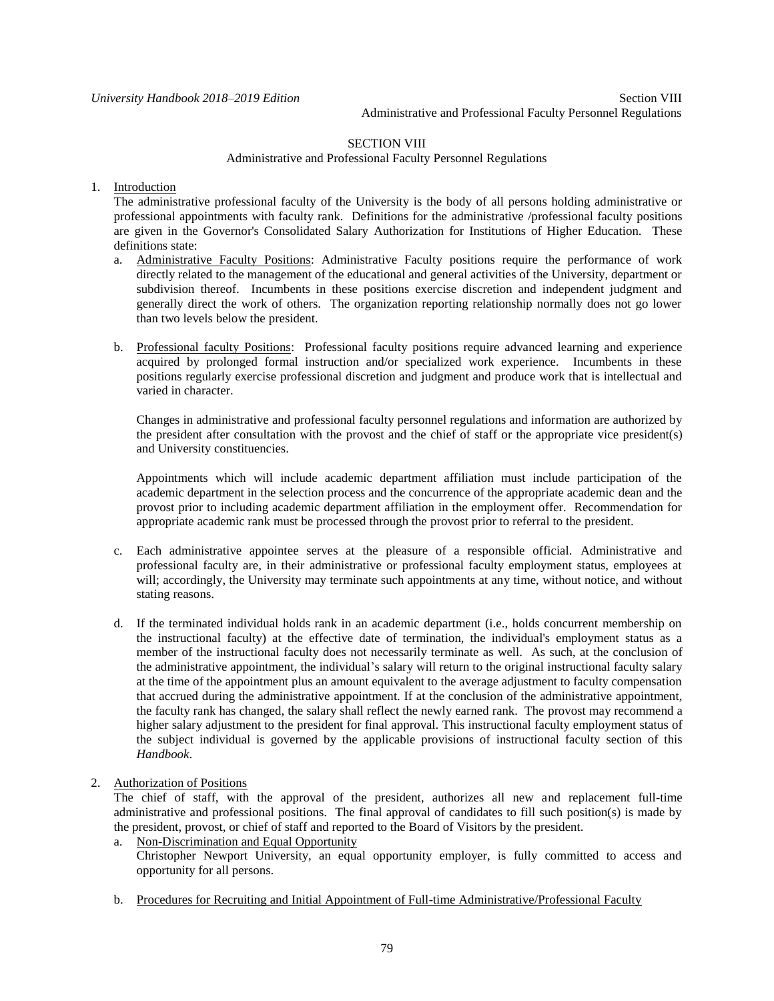*University Handbook 2018–2019 Edition* Section VIII Administrative and Professional Faculty Personnel Regulations

# SECTION VIII

#### Administrative and Professional Faculty Personnel Regulations

# 1. Introduction

The administrative professional faculty of the University is the body of all persons holding administrative or professional appointments with faculty rank. Definitions for the administrative /professional faculty positions are given in the Governor's Consolidated Salary Authorization for Institutions of Higher Education. These definitions state:

- a. Administrative Faculty Positions: Administrative Faculty positions require the performance of work directly related to the management of the educational and general activities of the University, department or subdivision thereof. Incumbents in these positions exercise discretion and independent judgment and generally direct the work of others. The organization reporting relationship normally does not go lower than two levels below the president.
- b. Professional faculty Positions: Professional faculty positions require advanced learning and experience acquired by prolonged formal instruction and/or specialized work experience. Incumbents in these positions regularly exercise professional discretion and judgment and produce work that is intellectual and varied in character.

Changes in administrative and professional faculty personnel regulations and information are authorized by the president after consultation with the provost and the chief of staff or the appropriate vice president(s) and University constituencies.

Appointments which will include academic department affiliation must include participation of the academic department in the selection process and the concurrence of the appropriate academic dean and the provost prior to including academic department affiliation in the employment offer. Recommendation for appropriate academic rank must be processed through the provost prior to referral to the president.

- c. Each administrative appointee serves at the pleasure of a responsible official. Administrative and professional faculty are, in their administrative or professional faculty employment status, employees at will; accordingly, the University may terminate such appointments at any time, without notice, and without stating reasons.
- d. If the terminated individual holds rank in an academic department (i.e., holds concurrent membership on the instructional faculty) at the effective date of termination, the individual's employment status as a member of the instructional faculty does not necessarily terminate as well. As such, at the conclusion of the administrative appointment, the individual's salary will return to the original instructional faculty salary at the time of the appointment plus an amount equivalent to the average adjustment to faculty compensation that accrued during the administrative appointment. If at the conclusion of the administrative appointment, the faculty rank has changed, the salary shall reflect the newly earned rank. The provost may recommend a higher salary adjustment to the president for final approval. This instructional faculty employment status of the subject individual is governed by the applicable provisions of instructional faculty section of this *Handbook*.
- 2. Authorization of Positions

The chief of staff, with the approval of the president, authorizes all new and replacement full-time administrative and professional positions. The final approval of candidates to fill such position(s) is made by the president, provost, or chief of staff and reported to the Board of Visitors by the president.

- a. Non-Discrimination and Equal Opportunity Christopher Newport University, an equal opportunity employer, is fully committed to access and opportunity for all persons.
- b. Procedures for Recruiting and Initial Appointment of Full-time Administrative/Professional Faculty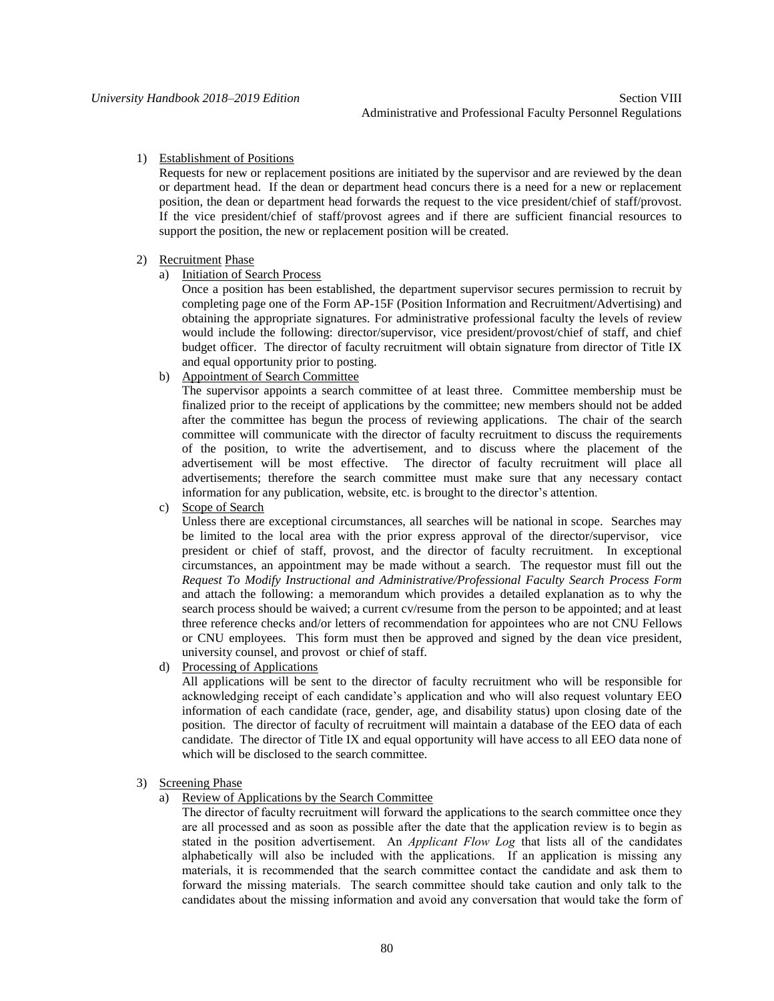# 1) Establishment of Positions

Requests for new or replacement positions are initiated by the supervisor and are reviewed by the dean or department head. If the dean or department head concurs there is a need for a new or replacement position, the dean or department head forwards the request to the vice president/chief of staff/provost. If the vice president/chief of staff/provost agrees and if there are sufficient financial resources to support the position, the new or replacement position will be created.

## 2) Recruitment Phase

a) Initiation of Search Process

Once a position has been established, the department supervisor secures permission to recruit by completing page one of the Form AP-15F (Position Information and Recruitment/Advertising) and obtaining the appropriate signatures. For administrative professional faculty the levels of review would include the following: director/supervisor, vice president/provost/chief of staff, and chief budget officer. The director of faculty recruitment will obtain signature from director of Title IX and equal opportunity prior to posting.

b) Appointment of Search Committee

The supervisor appoints a search committee of at least three. Committee membership must be finalized prior to the receipt of applications by the committee; new members should not be added after the committee has begun the process of reviewing applications. The chair of the search committee will communicate with the director of faculty recruitment to discuss the requirements of the position, to write the advertisement, and to discuss where the placement of the advertisement will be most effective. The director of faculty recruitment will place all advertisements; therefore the search committee must make sure that any necessary contact information for any publication, website, etc. is brought to the director's attention.

c) Scope of Search

Unless there are exceptional circumstances, all searches will be national in scope. Searches may be limited to the local area with the prior express approval of the director/supervisor, vice president or chief of staff, provost, and the director of faculty recruitment. In exceptional circumstances, an appointment may be made without a search. The requestor must fill out the *Request To Modify Instructional and Administrative/Professional Faculty Search Process Form* and attach the following: a memorandum which provides a detailed explanation as to why the search process should be waived; a current cv/resume from the person to be appointed; and at least three reference checks and/or letters of recommendation for appointees who are not CNU Fellows or CNU employees. This form must then be approved and signed by the dean vice president, university counsel, and provost or chief of staff.

d) Processing of Applications

All applications will be sent to the director of faculty recruitment who will be responsible for acknowledging receipt of each candidate's application and who will also request voluntary EEO information of each candidate (race, gender, age, and disability status) upon closing date of the position. The director of faculty of recruitment will maintain a database of the EEO data of each candidate. The director of Title IX and equal opportunity will have access to all EEO data none of which will be disclosed to the search committee.

#### 3) Screening Phase

a) Review of Applications by the Search Committee

The director of faculty recruitment will forward the applications to the search committee once they are all processed and as soon as possible after the date that the application review is to begin as stated in the position advertisement. An *Applicant Flow Log* that lists all of the candidates alphabetically will also be included with the applications. If an application is missing any materials, it is recommended that the search committee contact the candidate and ask them to forward the missing materials. The search committee should take caution and only talk to the candidates about the missing information and avoid any conversation that would take the form of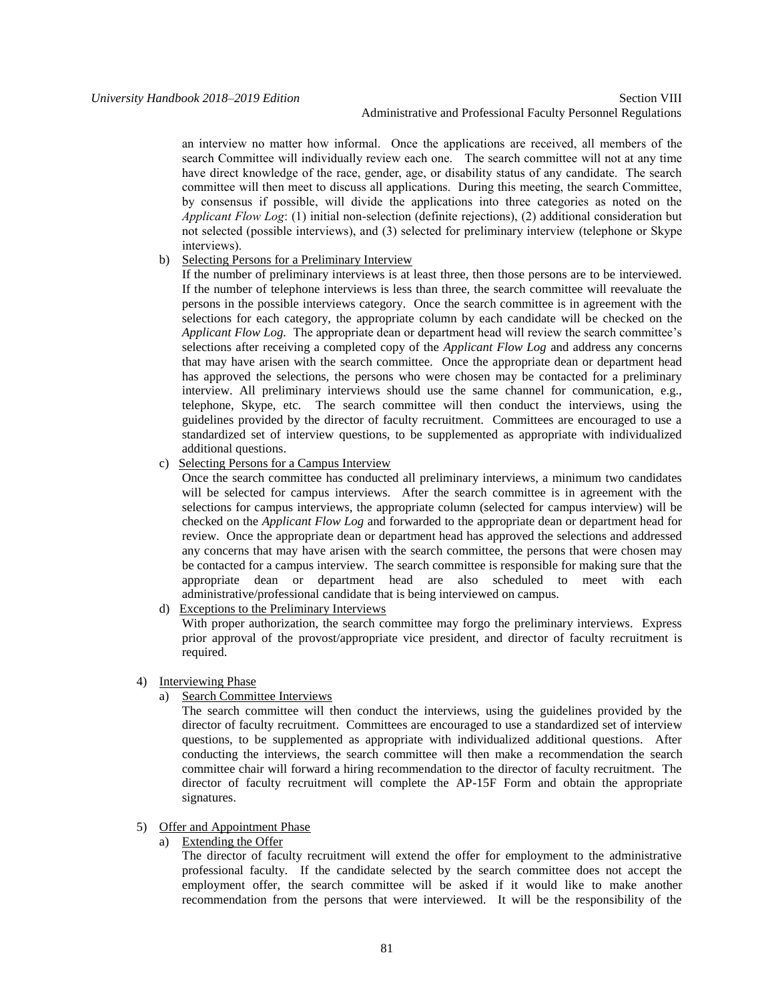Administrative and Professional Faculty Personnel Regulations

an interview no matter how informal. Once the applications are received, all members of the search Committee will individually review each one. The search committee will not at any time have direct knowledge of the race, gender, age, or disability status of any candidate. The search committee will then meet to discuss all applications. During this meeting, the search Committee, by consensus if possible, will divide the applications into three categories as noted on the *Applicant Flow Log*: (1) initial non-selection (definite rejections), (2) additional consideration but not selected (possible interviews), and (3) selected for preliminary interview (telephone or Skype interviews).

## b) Selecting Persons for a Preliminary Interview

If the number of preliminary interviews is at least three, then those persons are to be interviewed. If the number of telephone interviews is less than three, the search committee will reevaluate the persons in the possible interviews category. Once the search committee is in agreement with the selections for each category, the appropriate column by each candidate will be checked on the *Applicant Flow Log.* The appropriate dean or department head will review the search committee's selections after receiving a completed copy of the *Applicant Flow Log* and address any concerns that may have arisen with the search committee. Once the appropriate dean or department head has approved the selections, the persons who were chosen may be contacted for a preliminary interview. All preliminary interviews should use the same channel for communication, e.g., telephone, Skype, etc. The search committee will then conduct the interviews, using the guidelines provided by the director of faculty recruitment. Committees are encouraged to use a standardized set of interview questions, to be supplemented as appropriate with individualized additional questions.

# c) Selecting Persons for a Campus Interview

Once the search committee has conducted all preliminary interviews, a minimum two candidates will be selected for campus interviews. After the search committee is in agreement with the selections for campus interviews, the appropriate column (selected for campus interview) will be checked on the *Applicant Flow Log* and forwarded to the appropriate dean or department head for review. Once the appropriate dean or department head has approved the selections and addressed any concerns that may have arisen with the search committee, the persons that were chosen may be contacted for a campus interview. The search committee is responsible for making sure that the appropriate dean or department head are also scheduled to meet with each administrative/professional candidate that is being interviewed on campus.

d) Exceptions to the Preliminary Interviews

With proper authorization, the search committee may forgo the preliminary interviews. Express prior approval of the provost/appropriate vice president, and director of faculty recruitment is required.

## 4) Interviewing Phase

a) Search Committee Interviews

The search committee will then conduct the interviews, using the guidelines provided by the director of faculty recruitment. Committees are encouraged to use a standardized set of interview questions, to be supplemented as appropriate with individualized additional questions. After conducting the interviews, the search committee will then make a recommendation the search committee chair will forward a hiring recommendation to the director of faculty recruitment. The director of faculty recruitment will complete the AP-15F Form and obtain the appropriate signatures.

# 5) Offer and Appointment Phase

a) Extending the Offer

The director of faculty recruitment will extend the offer for employment to the administrative professional faculty. If the candidate selected by the search committee does not accept the employment offer, the search committee will be asked if it would like to make another recommendation from the persons that were interviewed. It will be the responsibility of the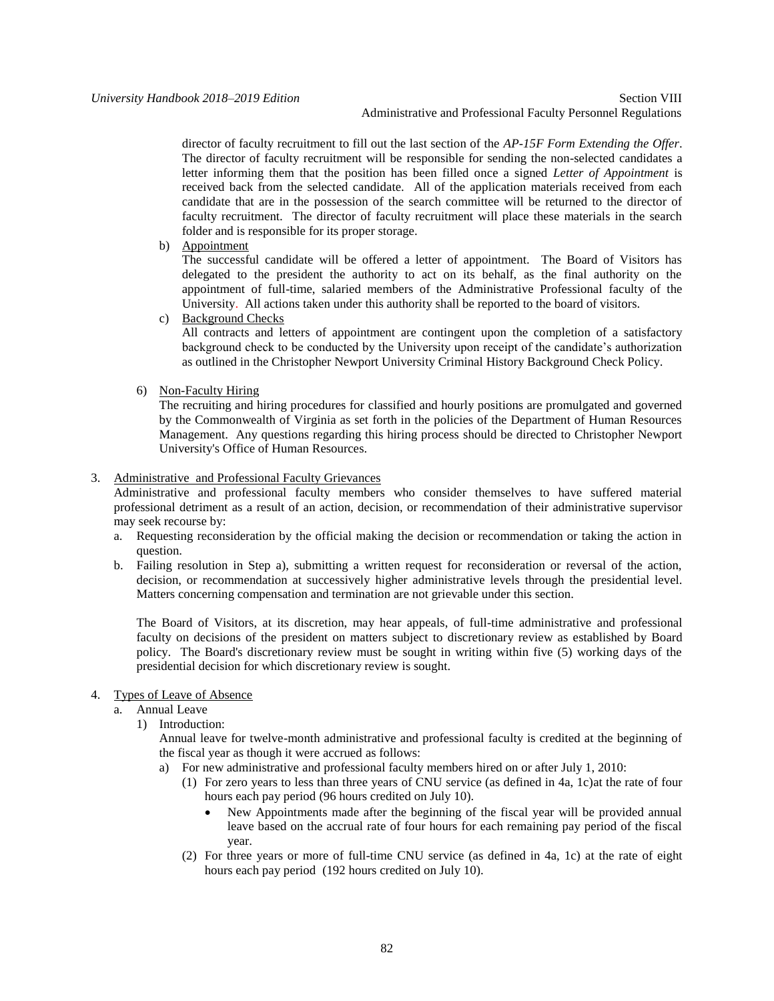*University Handbook 2018–2019 Edition* Section VIII Administrative and Professional Faculty Personnel Regulations

> director of faculty recruitment to fill out the last section of the *AP-15F Form Extending the Offer*. The director of faculty recruitment will be responsible for sending the non-selected candidates a letter informing them that the position has been filled once a signed *Letter of Appointment* is received back from the selected candidate. All of the application materials received from each candidate that are in the possession of the search committee will be returned to the director of faculty recruitment. The director of faculty recruitment will place these materials in the search folder and is responsible for its proper storage.

b) Appointment

The successful candidate will be offered a letter of appointment. The Board of Visitors has delegated to the president the authority to act on its behalf, as the final authority on the appointment of full-time, salaried members of the Administrative Professional faculty of the University. All actions taken under this authority shall be reported to the board of visitors.

c) Background Checks

All contracts and letters of appointment are contingent upon the completion of a satisfactory background check to be conducted by the University upon receipt of the candidate's authorization as outlined in the Christopher Newport University Criminal History Background Check Policy.

6) Non-Faculty Hiring

The recruiting and hiring procedures for classified and hourly positions are promulgated and governed by the Commonwealth of Virginia as set forth in the policies of the Department of Human Resources Management. Any questions regarding this hiring process should be directed to Christopher Newport University's Office of Human Resources.

# 3. Administrative and Professional Faculty Grievances

Administrative and professional faculty members who consider themselves to have suffered material professional detriment as a result of an action, decision, or recommendation of their administrative supervisor may seek recourse by:

- a. Requesting reconsideration by the official making the decision or recommendation or taking the action in question.
- b. Failing resolution in Step a), submitting a written request for reconsideration or reversal of the action, decision, or recommendation at successively higher administrative levels through the presidential level. Matters concerning compensation and termination are not grievable under this section.

The Board of Visitors, at its discretion, may hear appeals, of full-time administrative and professional faculty on decisions of the president on matters subject to discretionary review as established by Board policy. The Board's discretionary review must be sought in writing within five (5) working days of the presidential decision for which discretionary review is sought.

- 4. Types of Leave of Absence
	- a. Annual Leave
		- 1) Introduction:

Annual leave for twelve-month administrative and professional faculty is credited at the beginning of the fiscal year as though it were accrued as follows:

- a) For new administrative and professional faculty members hired on or after July 1, 2010:
	- (1) For zero years to less than three years of CNU service (as defined in 4a, 1c)at the rate of four hours each pay period (96 hours credited on July 10).
		- New Appointments made after the beginning of the fiscal year will be provided annual leave based on the accrual rate of four hours for each remaining pay period of the fiscal year.
	- (2) For three years or more of full-time CNU service (as defined in 4a, 1c) at the rate of eight hours each pay period (192 hours credited on July 10).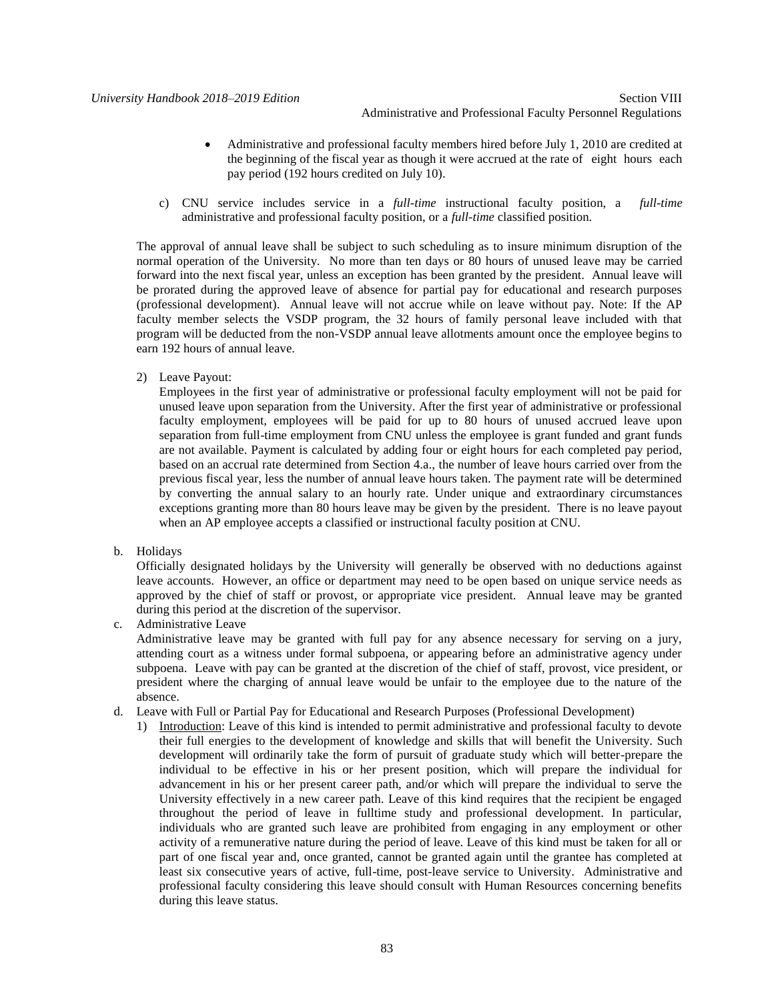- Administrative and professional faculty members hired before July 1, 2010 are credited at the beginning of the fiscal year as though it were accrued at the rate of eight hours each pay period (192 hours credited on July 10).
- c) CNU service includes service in a *full-time* instructional faculty position, a *full-time*  administrative and professional faculty position, or a *full-time* classified position.

The approval of annual leave shall be subject to such scheduling as to insure minimum disruption of the normal operation of the University. No more than ten days or 80 hours of unused leave may be carried forward into the next fiscal year, unless an exception has been granted by the president. Annual leave will be prorated during the approved leave of absence for partial pay for educational and research purposes (professional development). Annual leave will not accrue while on leave without pay. Note: If the AP faculty member selects the VSDP program, the 32 hours of family personal leave included with that program will be deducted from the non-VSDP annual leave allotments amount once the employee begins to earn 192 hours of annual leave.

2) Leave Payout:

Employees in the first year of administrative or professional faculty employment will not be paid for unused leave upon separation from the University. After the first year of administrative or professional faculty employment, employees will be paid for up to 80 hours of unused accrued leave upon separation from full-time employment from CNU unless the employee is grant funded and grant funds are not available. Payment is calculated by adding four or eight hours for each completed pay period, based on an accrual rate determined from Section 4.a., the number of leave hours carried over from the previous fiscal year, less the number of annual leave hours taken. The payment rate will be determined by converting the annual salary to an hourly rate. Under unique and extraordinary circumstances exceptions granting more than 80 hours leave may be given by the president. There is no leave payout when an AP employee accepts a classified or instructional faculty position at CNU.

b. Holidays

Officially designated holidays by the University will generally be observed with no deductions against leave accounts. However, an office or department may need to be open based on unique service needs as approved by the chief of staff or provost, or appropriate vice president. Annual leave may be granted during this period at the discretion of the supervisor.

c. Administrative Leave

Administrative leave may be granted with full pay for any absence necessary for serving on a jury, attending court as a witness under formal subpoena, or appearing before an administrative agency under subpoena. Leave with pay can be granted at the discretion of the chief of staff, provost, vice president, or president where the charging of annual leave would be unfair to the employee due to the nature of the absence.

- d. Leave with Full or Partial Pay for Educational and Research Purposes (Professional Development)
	- 1) Introduction: Leave of this kind is intended to permit administrative and professional faculty to devote their full energies to the development of knowledge and skills that will benefit the University. Such development will ordinarily take the form of pursuit of graduate study which will better-prepare the individual to be effective in his or her present position, which will prepare the individual for advancement in his or her present career path, and/or which will prepare the individual to serve the University effectively in a new career path. Leave of this kind requires that the recipient be engaged throughout the period of leave in fulltime study and professional development. In particular, individuals who are granted such leave are prohibited from engaging in any employment or other activity of a remunerative nature during the period of leave. Leave of this kind must be taken for all or part of one fiscal year and, once granted, cannot be granted again until the grantee has completed at least six consecutive years of active, full-time, post-leave service to University. Administrative and professional faculty considering this leave should consult with Human Resources concerning benefits during this leave status.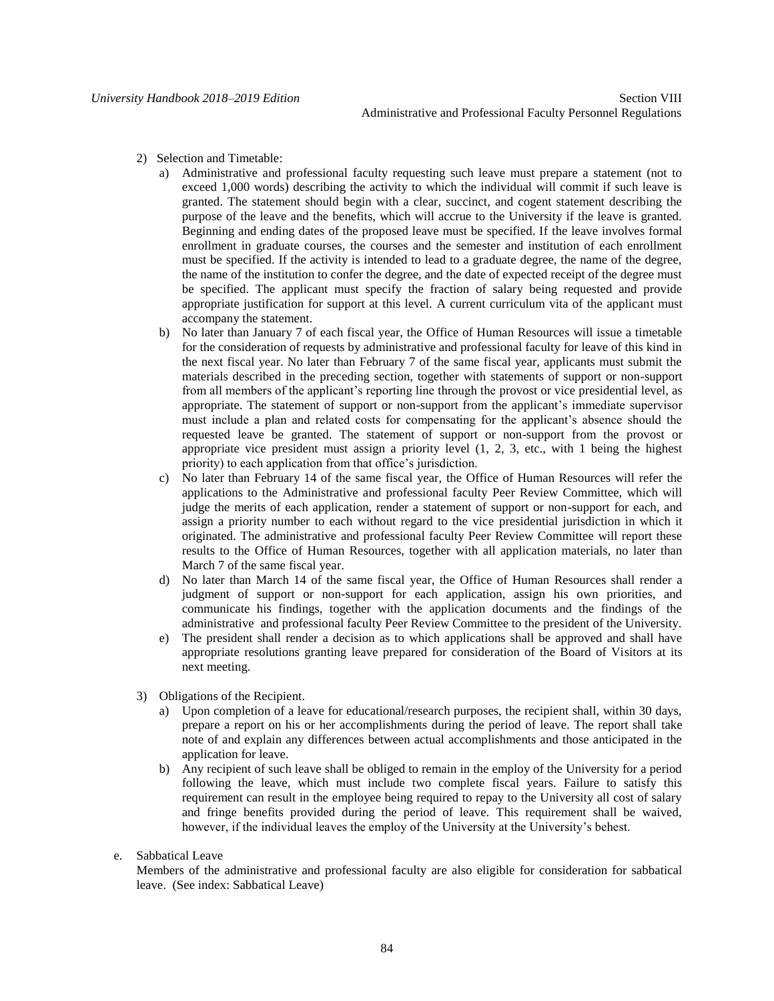- 2) Selection and Timetable:
	- a) Administrative and professional faculty requesting such leave must prepare a statement (not to exceed 1,000 words) describing the activity to which the individual will commit if such leave is granted. The statement should begin with a clear, succinct, and cogent statement describing the purpose of the leave and the benefits, which will accrue to the University if the leave is granted. Beginning and ending dates of the proposed leave must be specified. If the leave involves formal enrollment in graduate courses, the courses and the semester and institution of each enrollment must be specified. If the activity is intended to lead to a graduate degree, the name of the degree, the name of the institution to confer the degree, and the date of expected receipt of the degree must be specified. The applicant must specify the fraction of salary being requested and provide appropriate justification for support at this level. A current curriculum vita of the applicant must accompany the statement.
	- b) No later than January 7 of each fiscal year, the Office of Human Resources will issue a timetable for the consideration of requests by administrative and professional faculty for leave of this kind in the next fiscal year. No later than February 7 of the same fiscal year, applicants must submit the materials described in the preceding section, together with statements of support or non-support from all members of the applicant's reporting line through the provost or vice presidential level, as appropriate. The statement of support or non-support from the applicant's immediate supervisor must include a plan and related costs for compensating for the applicant's absence should the requested leave be granted. The statement of support or non-support from the provost or appropriate vice president must assign a priority level  $(1, 2, 3, \text{ etc.})$ , with 1 being the highest priority) to each application from that office's jurisdiction.
	- c) No later than February 14 of the same fiscal year, the Office of Human Resources will refer the applications to the Administrative and professional faculty Peer Review Committee, which will judge the merits of each application, render a statement of support or non-support for each, and assign a priority number to each without regard to the vice presidential jurisdiction in which it originated. The administrative and professional faculty Peer Review Committee will report these results to the Office of Human Resources, together with all application materials, no later than March 7 of the same fiscal year.
	- d) No later than March 14 of the same fiscal year, the Office of Human Resources shall render a judgment of support or non-support for each application, assign his own priorities, and communicate his findings, together with the application documents and the findings of the administrative and professional faculty Peer Review Committee to the president of the University.
	- e) The president shall render a decision as to which applications shall be approved and shall have appropriate resolutions granting leave prepared for consideration of the Board of Visitors at its next meeting.
- 3) Obligations of the Recipient.
	- a) Upon completion of a leave for educational/research purposes, the recipient shall, within 30 days, prepare a report on his or her accomplishments during the period of leave. The report shall take note of and explain any differences between actual accomplishments and those anticipated in the application for leave.
	- b) Any recipient of such leave shall be obliged to remain in the employ of the University for a period following the leave, which must include two complete fiscal years. Failure to satisfy this requirement can result in the employee being required to repay to the University all cost of salary and fringe benefits provided during the period of leave. This requirement shall be waived, however, if the individual leaves the employ of the University at the University's behest.
- e. Sabbatical Leave

Members of the administrative and professional faculty are also eligible for consideration for sabbatical leave. (See index: Sabbatical Leave)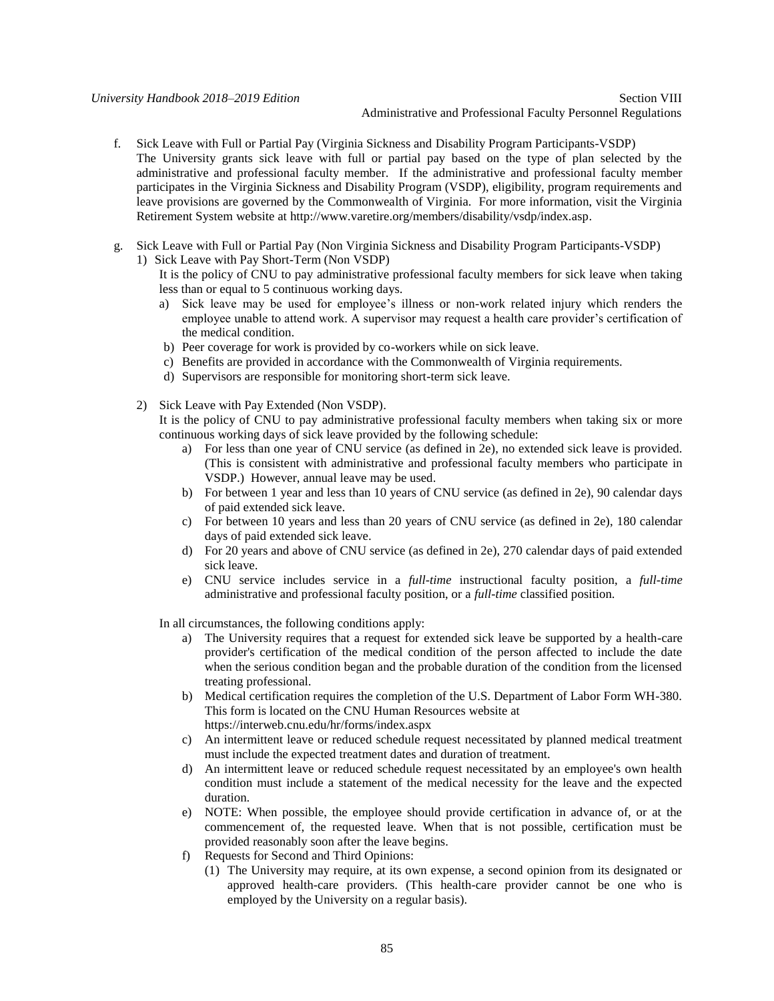*University Handbook 2018–2019 Edition* Section VIII Administrative and Professional Faculty Personnel Regulations

- f. Sick Leave with Full or Partial Pay (Virginia Sickness and Disability Program Participants-VSDP) The University grants sick leave with full or partial pay based on the type of plan selected by the administrative and professional faculty member. If the administrative and professional faculty member participates in the Virginia Sickness and Disability Program (VSDP), eligibility, program requirements and leave provisions are governed by the Commonwealth of Virginia. For more information, visit the Virginia Retirement System website at http://www.varetire.org/members/disability/vsdp/index.asp.
- g. Sick Leave with Full or Partial Pay (Non Virginia Sickness and Disability Program Participants-VSDP)
	- 1) Sick Leave with Pay Short-Term (Non VSDP)

It is the policy of CNU to pay administrative professional faculty members for sick leave when taking less than or equal to 5 continuous working days.

- a) Sick leave may be used for employee's illness or non-work related injury which renders the employee unable to attend work. A supervisor may request a health care provider's certification of the medical condition.
- b) Peer coverage for work is provided by co-workers while on sick leave.
- c) Benefits are provided in accordance with the Commonwealth of Virginia requirements.
- d) Supervisors are responsible for monitoring short-term sick leave.
- 2) Sick Leave with Pay Extended (Non VSDP).

It is the policy of CNU to pay administrative professional faculty members when taking six or more continuous working days of sick leave provided by the following schedule:

- a) For less than one year of CNU service (as defined in 2e), no extended sick leave is provided. (This is consistent with administrative and professional faculty members who participate in VSDP.) However, annual leave may be used.
- b) For between 1 year and less than 10 years of CNU service (as defined in 2e), 90 calendar days of paid extended sick leave.
- c) For between 10 years and less than 20 years of CNU service (as defined in 2e), 180 calendar days of paid extended sick leave.
- d) For 20 years and above of CNU service (as defined in 2e), 270 calendar days of paid extended sick leave.
- e) CNU service includes service in a *full-time* instructional faculty position, a *full-time*  administrative and professional faculty position, or a *full-time* classified position.

In all circumstances, the following conditions apply:

- a) The University requires that a request for extended sick leave be supported by a health-care provider's certification of the medical condition of the person affected to include the date when the serious condition began and the probable duration of the condition from the licensed treating professional.
- b) Medical certification requires the completion of the U.S. Department of Labor Form WH-380. This form is located on the CNU Human Resources website at https://interweb.cnu.edu/hr/forms/index.aspx
- c) An intermittent leave or reduced schedule request necessitated by planned medical treatment must include the expected treatment dates and duration of treatment.
- d) An intermittent leave or reduced schedule request necessitated by an employee's own health condition must include a statement of the medical necessity for the leave and the expected duration.
- e) NOTE: When possible, the employee should provide certification in advance of, or at the commencement of, the requested leave. When that is not possible, certification must be provided reasonably soon after the leave begins.
- f) Requests for Second and Third Opinions:
	- (1) The University may require, at its own expense, a second opinion from its designated or approved health-care providers. (This health-care provider cannot be one who is employed by the University on a regular basis).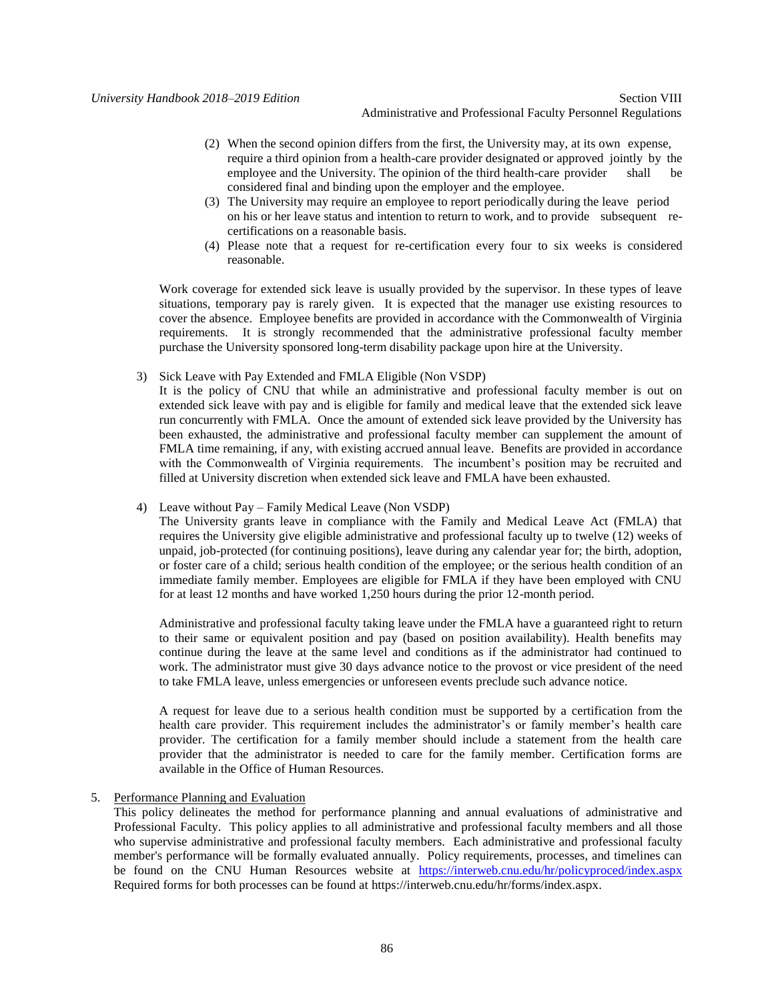# Administrative and Professional Faculty Personnel Regulations

- (2) When the second opinion differs from the first, the University may, at its own expense, require a third opinion from a health-care provider designated or approved jointly by the employee and the University. The opinion of the third health-care provider shall be considered final and binding upon the employer and the employee.
- (3) The University may require an employee to report periodically during the leave period on his or her leave status and intention to return to work, and to provide subsequent recertifications on a reasonable basis.
- (4) Please note that a request for re-certification every four to six weeks is considered reasonable.

Work coverage for extended sick leave is usually provided by the supervisor. In these types of leave situations, temporary pay is rarely given. It is expected that the manager use existing resources to cover the absence. Employee benefits are provided in accordance with the Commonwealth of Virginia requirements. It is strongly recommended that the administrative professional faculty member purchase the University sponsored long-term disability package upon hire at the University.

3) Sick Leave with Pay Extended and FMLA Eligible (Non VSDP)

It is the policy of CNU that while an administrative and professional faculty member is out on extended sick leave with pay and is eligible for family and medical leave that the extended sick leave run concurrently with FMLA. Once the amount of extended sick leave provided by the University has been exhausted, the administrative and professional faculty member can supplement the amount of FMLA time remaining, if any, with existing accrued annual leave. Benefits are provided in accordance with the Commonwealth of Virginia requirements. The incumbent's position may be recruited and filled at University discretion when extended sick leave and FMLA have been exhausted.

4) Leave without Pay – Family Medical Leave (Non VSDP)

The University grants leave in compliance with the Family and Medical Leave Act (FMLA) that requires the University give eligible administrative and professional faculty up to twelve (12) weeks of unpaid, job-protected (for continuing positions), leave during any calendar year for; the birth, adoption, or foster care of a child; serious health condition of the employee; or the serious health condition of an immediate family member. Employees are eligible for FMLA if they have been employed with CNU for at least 12 months and have worked 1,250 hours during the prior 12-month period.

Administrative and professional faculty taking leave under the FMLA have a guaranteed right to return to their same or equivalent position and pay (based on position availability). Health benefits may continue during the leave at the same level and conditions as if the administrator had continued to work. The administrator must give 30 days advance notice to the provost or vice president of the need to take FMLA leave, unless emergencies or unforeseen events preclude such advance notice.

A request for leave due to a serious health condition must be supported by a certification from the health care provider. This requirement includes the administrator's or family member's health care provider. The certification for a family member should include a statement from the health care provider that the administrator is needed to care for the family member. Certification forms are available in the Office of Human Resources.

5. Performance Planning and Evaluation

This policy delineates the method for performance planning and annual evaluations of administrative and Professional Faculty. This policy applies to all administrative and professional faculty members and all those who supervise administrative and professional faculty members. Each administrative and professional faculty member's performance will be formally evaluated annually. Policy requirements, processes, and timelines can be found on the CNU Human Resources website at <https://interweb.cnu.edu/hr/policyproced/index.aspx> Required forms for both processes can be found at https://interweb.cnu.edu/hr/forms/index.aspx.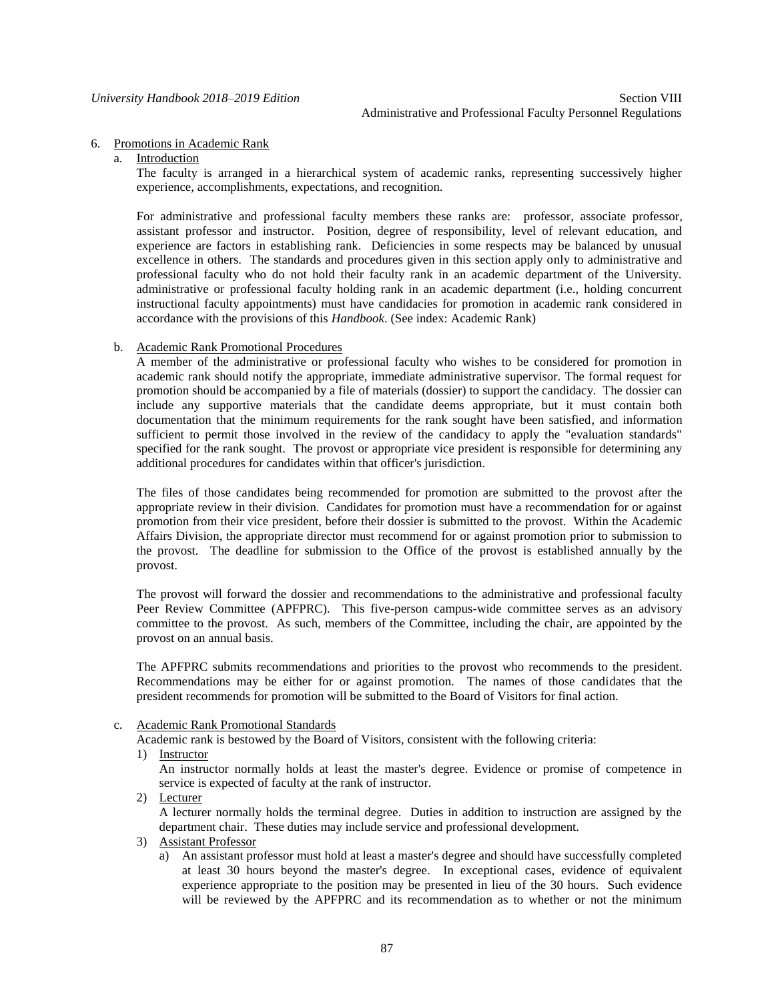#### 6. Promotions in Academic Rank

a. Introduction

The faculty is arranged in a hierarchical system of academic ranks, representing successively higher experience, accomplishments, expectations, and recognition.

For administrative and professional faculty members these ranks are: professor, associate professor, assistant professor and instructor. Position, degree of responsibility, level of relevant education, and experience are factors in establishing rank. Deficiencies in some respects may be balanced by unusual excellence in others. The standards and procedures given in this section apply only to administrative and professional faculty who do not hold their faculty rank in an academic department of the University. administrative or professional faculty holding rank in an academic department (i.e., holding concurrent instructional faculty appointments) must have candidacies for promotion in academic rank considered in accordance with the provisions of this *Handbook*. (See index: Academic Rank)

# b. Academic Rank Promotional Procedures

A member of the administrative or professional faculty who wishes to be considered for promotion in academic rank should notify the appropriate, immediate administrative supervisor. The formal request for promotion should be accompanied by a file of materials (dossier) to support the candidacy. The dossier can include any supportive materials that the candidate deems appropriate, but it must contain both documentation that the minimum requirements for the rank sought have been satisfied, and information sufficient to permit those involved in the review of the candidacy to apply the "evaluation standards" specified for the rank sought. The provost or appropriate vice president is responsible for determining any additional procedures for candidates within that officer's jurisdiction.

The files of those candidates being recommended for promotion are submitted to the provost after the appropriate review in their division. Candidates for promotion must have a recommendation for or against promotion from their vice president, before their dossier is submitted to the provost. Within the Academic Affairs Division, the appropriate director must recommend for or against promotion prior to submission to the provost. The deadline for submission to the Office of the provost is established annually by the provost.

The provost will forward the dossier and recommendations to the administrative and professional faculty Peer Review Committee (APFPRC). This five-person campus-wide committee serves as an advisory committee to the provost. As such, members of the Committee, including the chair, are appointed by the provost on an annual basis.

The APFPRC submits recommendations and priorities to the provost who recommends to the president. Recommendations may be either for or against promotion. The names of those candidates that the president recommends for promotion will be submitted to the Board of Visitors for final action.

c. Academic Rank Promotional Standards

Academic rank is bestowed by the Board of Visitors, consistent with the following criteria:

1) Instructor

An instructor normally holds at least the master's degree. Evidence or promise of competence in service is expected of faculty at the rank of instructor.

2) Lecturer

A lecturer normally holds the terminal degree. Duties in addition to instruction are assigned by the department chair. These duties may include service and professional development.

- 3) Assistant Professor
	- a) An assistant professor must hold at least a master's degree and should have successfully completed at least 30 hours beyond the master's degree. In exceptional cases, evidence of equivalent experience appropriate to the position may be presented in lieu of the 30 hours. Such evidence will be reviewed by the APFPRC and its recommendation as to whether or not the minimum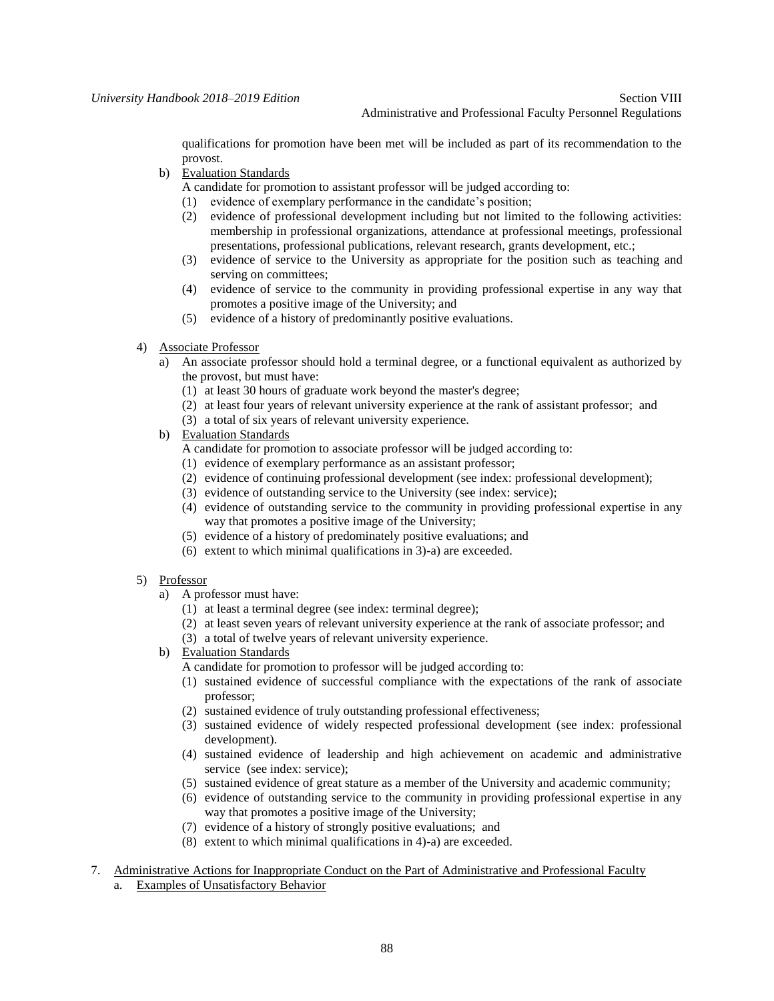qualifications for promotion have been met will be included as part of its recommendation to the provost.

b) Evaluation Standards

A candidate for promotion to assistant professor will be judged according to:

- (1) evidence of exemplary performance in the candidate's position;
- (2) evidence of professional development including but not limited to the following activities: membership in professional organizations, attendance at professional meetings, professional presentations, professional publications, relevant research, grants development, etc.;
- (3) evidence of service to the University as appropriate for the position such as teaching and serving on committees;
- (4) evidence of service to the community in providing professional expertise in any way that promotes a positive image of the University; and
- (5) evidence of a history of predominantly positive evaluations.

# 4) Associate Professor

- a) An associate professor should hold a terminal degree, or a functional equivalent as authorized by the provost, but must have:
	- (1) at least 30 hours of graduate work beyond the master's degree;
	- (2) at least four years of relevant university experience at the rank of assistant professor; and
	- (3) a total of six years of relevant university experience.
- b) Evaluation Standards
	- A candidate for promotion to associate professor will be judged according to:
	- (1) evidence of exemplary performance as an assistant professor;
	- (2) evidence of continuing professional development (see index: professional development);
	- (3) evidence of outstanding service to the University (see index: service);
	- (4) evidence of outstanding service to the community in providing professional expertise in any way that promotes a positive image of the University;
	- (5) evidence of a history of predominately positive evaluations; and
	- (6) extent to which minimal qualifications in 3)-a) are exceeded.

## 5) Professor

- a) A professor must have:
	- (1) at least a terminal degree (see index: terminal degree);
	- (2) at least seven years of relevant university experience at the rank of associate professor; and
	- (3) a total of twelve years of relevant university experience.
- b) Evaluation Standards
	- A candidate for promotion to professor will be judged according to:
	- (1) sustained evidence of successful compliance with the expectations of the rank of associate professor;
	- (2) sustained evidence of truly outstanding professional effectiveness;
	- (3) sustained evidence of widely respected professional development (see index: professional development).
	- (4) sustained evidence of leadership and high achievement on academic and administrative service (see index: service);
	- (5) sustained evidence of great stature as a member of the University and academic community;
	- (6) evidence of outstanding service to the community in providing professional expertise in any way that promotes a positive image of the University;
	- (7) evidence of a history of strongly positive evaluations; and
	- (8) extent to which minimal qualifications in 4)-a) are exceeded.
- 7. Administrative Actions for Inappropriate Conduct on the Part of Administrative and Professional Faculty
	- a. Examples of Unsatisfactory Behavior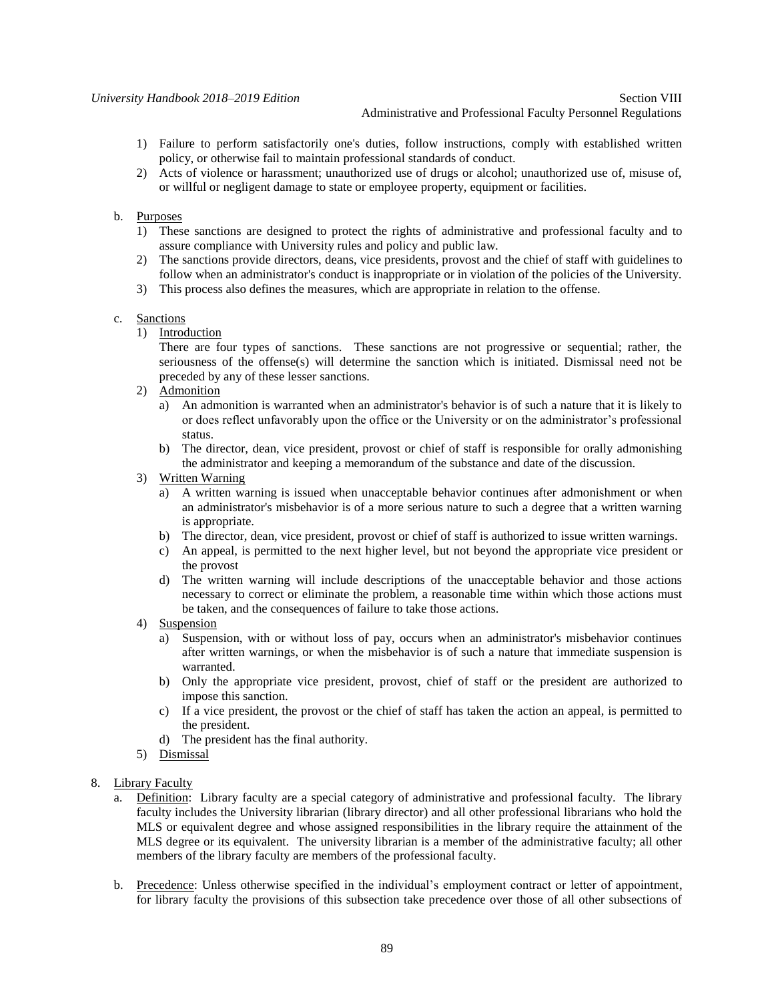#### Administrative and Professional Faculty Personnel Regulations

- 1) Failure to perform satisfactorily one's duties, follow instructions, comply with established written policy, or otherwise fail to maintain professional standards of conduct.
- 2) Acts of violence or harassment; unauthorized use of drugs or alcohol; unauthorized use of, misuse of, or willful or negligent damage to state or employee property, equipment or facilities.

# b. Purposes

- 1) These sanctions are designed to protect the rights of administrative and professional faculty and to assure compliance with University rules and policy and public law.
- 2) The sanctions provide directors, deans, vice presidents, provost and the chief of staff with guidelines to follow when an administrator's conduct is inappropriate or in violation of the policies of the University.
- 3) This process also defines the measures, which are appropriate in relation to the offense.

## c. Sanctions

1) Introduction

There are four types of sanctions. These sanctions are not progressive or sequential; rather, the seriousness of the offense(s) will determine the sanction which is initiated. Dismissal need not be preceded by any of these lesser sanctions.

- 2) Admonition
	- a) An admonition is warranted when an administrator's behavior is of such a nature that it is likely to or does reflect unfavorably upon the office or the University or on the administrator's professional status.
	- b) The director, dean, vice president, provost or chief of staff is responsible for orally admonishing the administrator and keeping a memorandum of the substance and date of the discussion.

# 3) Written Warning

- a) A written warning is issued when unacceptable behavior continues after admonishment or when an administrator's misbehavior is of a more serious nature to such a degree that a written warning is appropriate.
- b) The director, dean, vice president, provost or chief of staff is authorized to issue written warnings.
- c) An appeal, is permitted to the next higher level, but not beyond the appropriate vice president or the provost
- d) The written warning will include descriptions of the unacceptable behavior and those actions necessary to correct or eliminate the problem, a reasonable time within which those actions must be taken, and the consequences of failure to take those actions.
- 4) Suspension
	- a) Suspension, with or without loss of pay, occurs when an administrator's misbehavior continues after written warnings, or when the misbehavior is of such a nature that immediate suspension is warranted.
	- b) Only the appropriate vice president, provost, chief of staff or the president are authorized to impose this sanction.
	- c) If a vice president, the provost or the chief of staff has taken the action an appeal, is permitted to the president.
	- d) The president has the final authority.
- 5) Dismissal

## 8. Library Faculty

- a. Definition: Library faculty are a special category of administrative and professional faculty. The library faculty includes the University librarian (library director) and all other professional librarians who hold the MLS or equivalent degree and whose assigned responsibilities in the library require the attainment of the MLS degree or its equivalent. The university librarian is a member of the administrative faculty; all other members of the library faculty are members of the professional faculty.
- b. Precedence: Unless otherwise specified in the individual's employment contract or letter of appointment, for library faculty the provisions of this subsection take precedence over those of all other subsections of